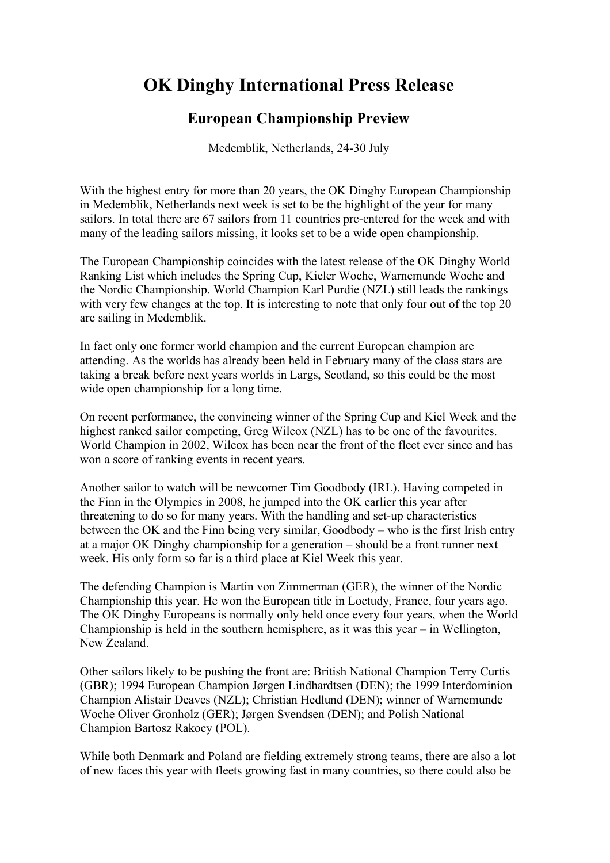## **OK Dinghy International Press Release**

## **European Championship Preview**

Medemblik, Netherlands, 24-30 July

With the highest entry for more than 20 years, the OK Dinghy European Championship in Medemblik, Netherlands next week is set to be the highlight of the year for many sailors. In total there are 67 sailors from 11 countries pre-entered for the week and with many of the leading sailors missing, it looks set to be a wide open championship.

The European Championship coincides with the latest release of the OK Dinghy World Ranking List which includes the Spring Cup, Kieler Woche, Warnemunde Woche and the Nordic Championship. World Champion Karl Purdie (NZL) still leads the rankings with very few changes at the top. It is interesting to note that only four out of the top 20 are sailing in Medemblik.

In fact only one former world champion and the current European champion are attending. As the worlds has already been held in February many of the class stars are taking a break before next years worlds in Largs, Scotland, so this could be the most wide open championship for a long time.

On recent performance, the convincing winner of the Spring Cup and Kiel Week and the highest ranked sailor competing, Greg Wilcox (NZL) has to be one of the favourites. World Champion in 2002, Wilcox has been near the front of the fleet ever since and has won a score of ranking events in recent years.

Another sailor to watch will be newcomer Tim Goodbody (IRL). Having competed in the Finn in the Olympics in 2008, he jumped into the OK earlier this year after threatening to do so for many years. With the handling and set-up characteristics between the OK and the Finn being very similar, Goodbody – who is the first Irish entry at a major OK Dinghy championship for a generation – should be a front runner next week. His only form so far is a third place at Kiel Week this year.

The defending Champion is Martin von Zimmerman (GER), the winner of the Nordic Championship this year. He won the European title in Loctudy, France, four years ago. The OK Dinghy Europeans is normally only held once every four years, when the World Championship is held in the southern hemisphere, as it was this year – in Wellington, New Zealand.

Other sailors likely to be pushing the front are: British National Champion Terry Curtis (GBR); 1994 European Champion Jørgen Lindhardtsen (DEN); the 1999 Interdominion Champion Alistair Deaves (NZL); Christian Hedlund (DEN); winner of Warnemunde Woche Oliver Gronholz (GER); Jørgen Svendsen (DEN); and Polish National Champion Bartosz Rakocy (POL).

While both Denmark and Poland are fielding extremely strong teams, there are also a lot of new faces this year with fleets growing fast in many countries, so there could also be